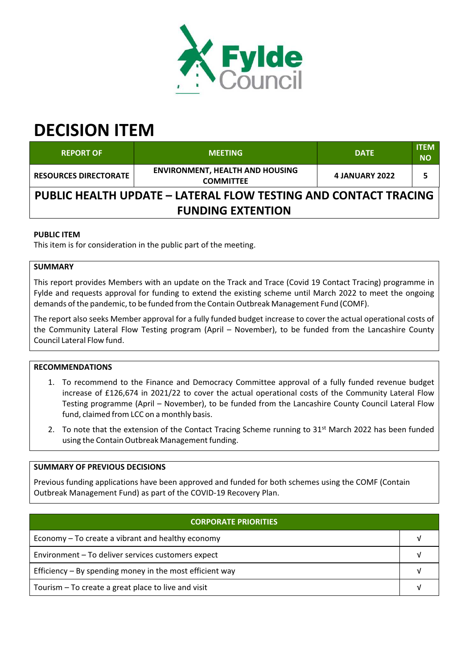

# **DECISION ITEM**

| <b>REPORT OF</b>                                                       | <b>MEETING</b>                                             | <b>DATE</b>           | <b>ITEM</b><br><b>NO</b> |  |  |  |
|------------------------------------------------------------------------|------------------------------------------------------------|-----------------------|--------------------------|--|--|--|
| <b>RESOURCES DIRECTORATE</b>                                           | <b>ENVIRONMENT, HEALTH AND HOUSING</b><br><b>COMMITTEE</b> | <b>4 JANUARY 2022</b> |                          |  |  |  |
| <b>PUBLIC HEALTH UPDATE - LATERAL FLOW TESTING AND CONTACT TRACING</b> |                                                            |                       |                          |  |  |  |
| <b>FUNDING EXTENTION</b>                                               |                                                            |                       |                          |  |  |  |

# **PUBLIC ITEM**

This item is for consideration in the public part of the meeting.

## **SUMMARY**

This report provides Members with an update on the Track and Trace (Covid 19 Contact Tracing) programme in Fylde and requests approval for funding to extend the existing scheme until March 2022 to meet the ongoing demands of the pandemic, to be funded from the Contain Outbreak Management Fund (COMF).

The report also seeks Member approval for a fully funded budget increase to cover the actual operational costs of the Community Lateral Flow Testing program (April – November), to be funded from the Lancashire County Council Lateral Flow fund.

#### **RECOMMENDATIONS**

- 1. To recommend to the Finance and Democracy Committee approval of a fully funded revenue budget increase of £126,674 in 2021/22 to cover the actual operational costs of the Community Lateral Flow Testing programme (April – November), to be funded from the Lancashire County Council Lateral Flow fund, claimed from LCC on a monthly basis.
- 2. To note that the extension of the Contact Tracing Scheme running to 31<sup>st</sup> March 2022 has been funded using the Contain Outbreak Management funding.

#### **SUMMARY OF PREVIOUS DECISIONS**

Previous funding applications have been approved and funded for both schemes using the COMF (Contain Outbreak Management Fund) as part of the COVID‐19 Recovery Plan.

# **CORPORATE PRIORITIES**

| Economy – To create a vibrant and healthy economy          |  |
|------------------------------------------------------------|--|
| Environment - To deliver services customers expect         |  |
| Efficiency $-$ By spending money in the most efficient way |  |
| Tourism – To create a great place to live and visit        |  |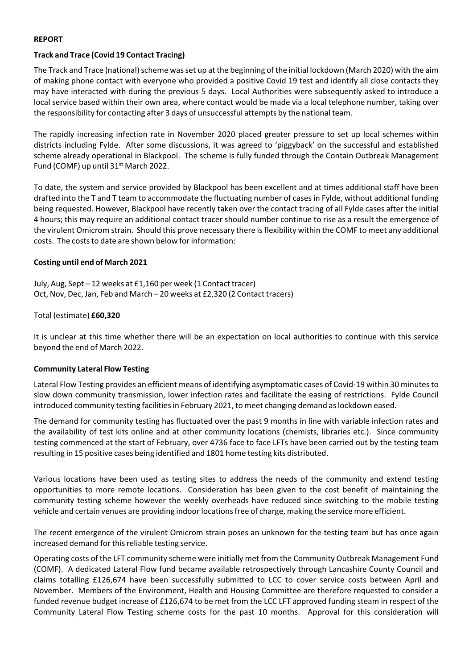## **REPORT**

#### **Track and Trace (Covid 19 Contact Tracing)**

The Track and Trace (national) scheme was set up at the beginning of the initial lockdown (March 2020) with the aim of making phone contact with everyone who provided a positive Covid 19 test and identify all close contacts they may have interacted with during the previous 5 days. Local Authorities were subsequently asked to introduce a local service based within their own area, where contact would be made via a local telephone number, taking over the responsibility for contacting after 3 days of unsuccessful attempts by the national team.

The rapidly increasing infection rate in November 2020 placed greater pressure to set up local schemes within districts including Fylde. After some discussions, it was agreed to 'piggyback' on the successful and established scheme already operational in Blackpool. The scheme is fully funded through the Contain Outbreak Management Fund (COMF) up until 31<sup>st</sup> March 2022.

To date, the system and service provided by Blackpool has been excellent and at times additional staff have been drafted into the T and T team to accommodate the fluctuating number of casesin Fylde, without additional funding being requested. However, Blackpool have recently taken over the contact tracing of all Fylde cases after the initial 4 hours; this may require an additional contact tracer should number continue to rise as a result the emergence of the virulent Omicrom strain. Should this prove necessary there is flexibility within the COMF to meet any additional costs. The costs to date are shown below for information:

## **Costing until end of March 2021**

July, Aug, Sept – 12 weeks at £1,160 per week (1 Contact tracer) Oct, Nov, Dec, Jan, Feb and March – 20 weeks at £2,320 (2 Contact tracers)

## Total (estimate) **£60,320**

It is unclear at this time whether there will be an expectation on local authorities to continue with this service beyond the end of March 2022.

#### **Community Lateral Flow Testing**

Lateral Flow Testing provides an efficient means of identifying asymptomatic cases of Covid‐19 within 30 minutesto slow down community transmission, lower infection rates and facilitate the easing of restrictions. Fylde Council introduced community testing facilities in February 2021, to meet changing demand as lockdown eased.

The demand for community testing has fluctuated over the past 9 months in line with variable infection rates and the availability of test kits online and at other community locations (chemists, libraries etc.). Since community testing commenced at the start of February, over 4736 face to face LFTs have been carried out by the testing team resulting in 15 positive cases being identified and 1801 home testing kits distributed.

Various locations have been used as testing sites to address the needs of the community and extend testing opportunities to more remote locations. Consideration has been given to the cost benefit of maintaining the community testing scheme however the weekly overheads have reduced since switching to the mobile testing vehicle and certain venues are providing indoor locations free of charge, making the service more efficient.

The recent emergence of the virulent Omicrom strain poses an unknown for the testing team but has once again increased demand for this reliable testing service.

Operating costs of the LFT community scheme were initially met from the Community Outbreak Management Fund (COMF). A dedicated Lateral Flow fund became available retrospectively through Lancashire County Council and claims totalling £126,674 have been successfully submitted to LCC to cover service costs between April and November. Members of the Environment, Health and Housing Committee are therefore requested to consider a funded revenue budget increase of £126,674 to be met from the LCC LFT approved funding steam in respect of the Community Lateral Flow Testing scheme costs for the past 10 months. Approval for this consideration will